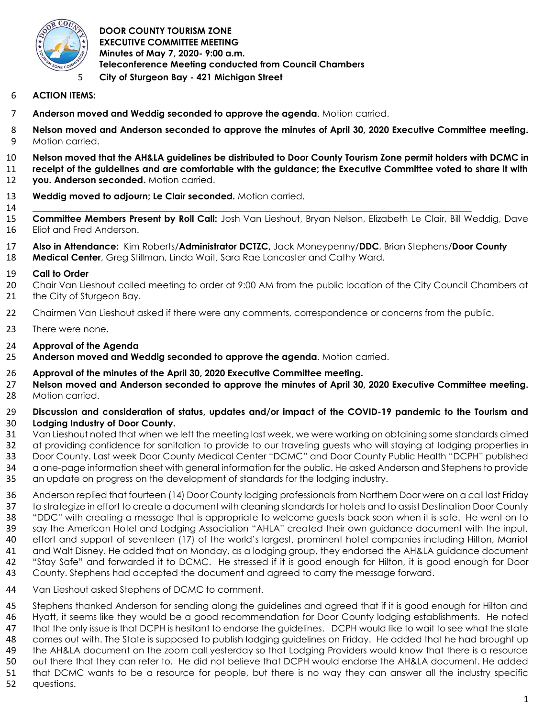

**DOOR COUNTY TOURISM ZONE EXECUTIVE COMMITTEE MEETING Minutes of May 7, 2020- 9:00 a.m. Teleconference Meeting conducted from Council Chambers City of Sturgeon Bay - 421 Michigan Street** 

# **ACTION ITEMS:**

- **Anderson moved and Weddig seconded to approve the agenda**. Motion carried.
- **Nelson moved and Anderson seconded to approve the minutes of April 30, 2020 Executive Committee meeting.**  Motion carried.
- **Nelson moved that the AH&LA guidelines be distributed to Door County Tourism Zone permit holders with DCMC in receipt of the guidelines and are comfortable with the guidance; the Executive Committee voted to share it with you. Anderson seconded.** Motion carried.
- **Weddig moved to adjourn; Le Clair seconded.** Motion carried.
- \_\_\_\_\_\_\_\_\_\_\_\_\_\_\_\_\_\_\_\_\_\_\_\_\_\_\_\_\_\_\_\_\_\_\_\_\_\_\_\_\_\_\_\_\_\_\_\_\_\_\_\_\_\_\_\_\_\_\_\_\_\_\_\_\_\_\_\_\_\_\_\_\_\_\_\_\_\_\_\_\_\_\_\_\_\_\_\_\_\_\_\_\_\_\_\_\_ **Committee Members Present by Roll Call:** Josh Van Lieshout, Bryan Nelson, Elizabeth Le Clair, Bill Weddig, Dave Eliot and Fred Anderson.
- **Also in Attendance:** Kim Roberts/**Administrator DCTZC,** Jack Moneypenny/**DDC**, Brian Stephens/**Door County Medical Center**, Greg Stillman, Linda Wait, Sara Rae Lancaster and Cathy Ward.

## **Call to Order**

- 20 Chair Van Lieshout called meeting to order at 9:00 AM from the public location of the City Council Chambers at 21 the City of Sturgeon Bay.
- 22 Chairmen Van Lieshout asked if there were any comments, correspondence or concerns from the public.
- There were none.
- **Approval of the Agenda**
- **Anderson moved and Weddig seconded to approve the agenda**. Motion carried.

## **Approval of the minutes of the April 30, 2020 Executive Committee meeting.**

 **Nelson moved and Anderson seconded to approve the minutes of April 30, 2020 Executive Committee meeting.**  Motion carried.

## **Discussion and consideration of status, updates and/or impact of the COVID-19 pandemic to the Tourism and Lodging Industry of Door County.**

- Van Lieshout noted that when we left the meeting last week, we were working on obtaining some standards aimed at providing confidence for sanitation to provide to our traveling guests who will staying at lodging properties in Door County. Last week Door County Medical Center "DCMC" and Door County Public Health "DCPH" published a one-page information sheet with general information for the public. He asked Anderson and Stephens to provide an update on progress on the development of standards for the lodging industry.
- Anderson replied that fourteen (14) Door County lodging professionals from Northern Door were on a call last Friday to strategize in effort to create a document with cleaning standards for hotels and to assist Destination Door County "DDC" with creating a message that is appropriate to welcome guests back soon when it is safe. He went on to say the American Hotel and Lodging Association "AHLA" created their own guidance document with the input, effort and support of seventeen (17) of the world's largest, prominent hotel companies including Hilton, Marriot and Walt Disney. He added that on Monday, as a lodging group, they endorsed the AH&LA guidance document "Stay Safe" and forwarded it to DCMC. He stressed if it is good enough for Hilton, it is good enough for Door County. Stephens had accepted the document and agreed to carry the message forward.
- Van Lieshout asked Stephens of DCMC to comment.
- Stephens thanked Anderson for sending along the guidelines and agreed that if it is good enough for Hilton and Hyatt, it seems like they would be a good recommendation for Door County lodging establishments. He noted
- that the only issue is that DCPH is hesitant to endorse the guidelines. DCPH would like to wait to see what the state
- comes out with. The State is supposed to publish lodging guidelines on Friday. He added that he had brought up
- the AH&LA document on the zoom call yesterday so that Lodging Providers would know that there is a resource
- out there that they can refer to. He did not believe that DCPH would endorse the AH&LA document. He added
- that DCMC wants to be a resource for people, but there is no way they can answer all the industry specific
- questions.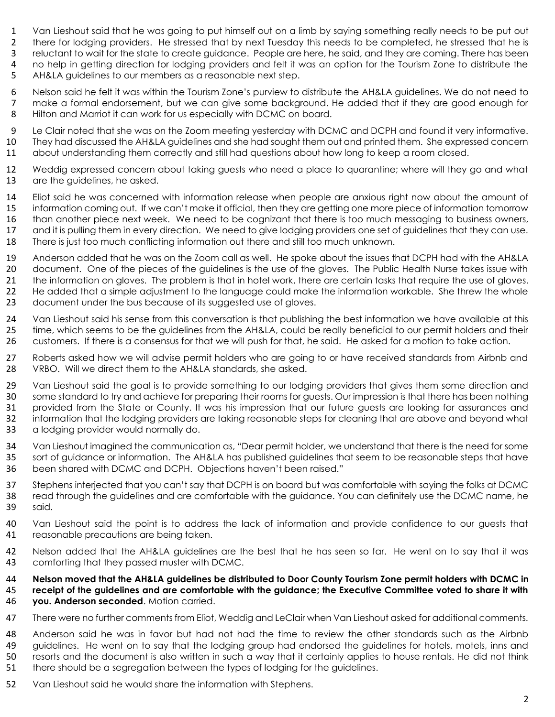- 1 Van Lieshout said that he was going to put himself out on a limb by saying something really needs to be put out<br>2 there for lodging providers. He stressed that by next Tuesday this needs to be completed, he stressed that there for lodging providers. He stressed that by next Tuesday this needs to be completed, he stressed that he is reluctant to wait for the state to create guidance. People are here, he said, and they are coming. There has been 4 no help in getting direction for lodging providers and felt it was an option for the Tourism Zone to distribute the<br>5 AH&LA guidelines to our members as a reasonable next step.
- AH&LA guidelines to our members as a reasonable next step.
- Nelson said he felt it was within the Tourism Zone's purview to distribute the AH&LA guidelines. We do not need to 7 make a formal endorsement, but we can give some background. He added that if they are good enough for 8 Hilton and Marriot it can work for us especially with DCMC on board. Hilton and Marriot it can work for us especially with DCMC on board.
- Le Clair noted that she was on the Zoom meeting yesterday with DCMC and DCPH and found it very informative. They had discussed the AH&LA guidelines and she had sought them out and printed them. She expressed concern about understanding them correctly and still had questions about how long to keep a room closed.
- Weddig expressed concern about taking guests who need a place to quarantine; where will they go and what 13 are the guidelines, he asked.
- Eliot said he was concerned with information release when people are anxious right now about the amount of information coming out. If we can't make it official, then they are getting one more piece of information tomorrow than another piece next week. We need to be cognizant that there is too much messaging to business owners, and it is pulling them in every direction. We need to give lodging providers one set of guidelines that they can use. There is just too much conflicting information out there and still too much unknown.
- Anderson added that he was on the Zoom call as well. He spoke about the issues that DCPH had with the AH&LA 20 document. One of the pieces of the guidelines is the use of the gloves. The Public Health Nurse takes issue with 21 the information on gloves. The problem is that in hotel work, there are certain tasks that require the use of gloves. He added that a simple adjustment to the language could make the information workable. She threw the whole 23 document under the bus because of its suggested use of gloves.
- Van Lieshout said his sense from this conversation is that publishing the best information we have available at this 25 time, which seems to be the guidelines from the AH&LA, could be really beneficial to our permit holders and their customers. If there is a consensus for that we will push for that, he said. He asked for a motion to take action.
- Roberts asked how we will advise permit holders who are going to or have received standards from Airbnb and VRBO. Will we direct them to the AH&LA standards, she asked.
- 29 Van Lieshout said the goal is to provide something to our lodging providers that gives them some direction and some standard to try and achieve for preparing their rooms for guests. Our impression is that there has been nothing provided from the State or County. It was his impression that our future guests are looking for assurances and information that the lodging providers are taking reasonable steps for cleaning that are above and beyond what a lodging provider would normally do.
- Van Lieshout imagined the communication as, "Dear permit holder, we understand that there is the need for some sort of guidance or information. The AH&LA has published guidelines that seem to be reasonable steps that have been shared with DCMC and DCPH. Objections haven't been raised."
- Stephens interjected that you can't say that DCPH is on board but was comfortable with saying the folks at DCMC read through the guidelines and are comfortable with the guidance. You can definitely use the DCMC name, he said.
- Van Lieshout said the point is to address the lack of information and provide confidence to our guests that 41 reasonable precautions are being taken.
- Nelson added that the AH&LA guidelines are the best that he has seen so far. He went on to say that it was comforting that they passed muster with DCMC.

#### **Nelson moved that the AH&LA guidelines be distributed to Door County Tourism Zone permit holders with DCMC in receipt of the guidelines and are comfortable with the guidance; the Executive Committee voted to share it with you. Anderson seconded**. Motion carried.

- There were no further comments from Eliot, Weddig and LeClair when Van Lieshout asked for additional comments.
- Anderson said he was in favor but had not had the time to review the other standards such as the Airbnb 49 guidelines. He went on to say that the lodging group had endorsed the guidelines for hotels, motels, inns and resorts and the document is also written in such a way that it certainly applies to house rentals. He did not think there should be a segregation between the types of lodging for the guidelines.
- Van Lieshout said he would share the information with Stephens.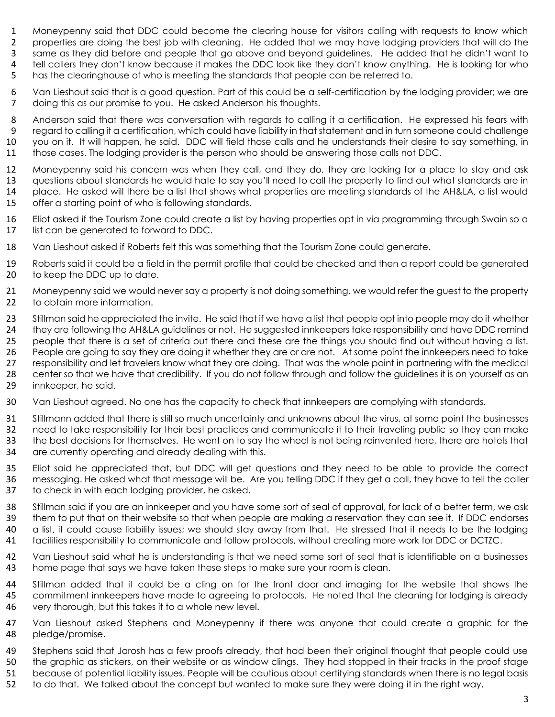- 1 Moneypenny said that DDC could become the clearing house for visitors calling with requests to know which<br>2 properties are doing the best job with cleaning. He added that we may have lodging providers that will do the properties are doing the best job with cleaning. He added that we may have lodging providers that will do the same as they did before and people that go above and beyond guidelines. He added that he didn't want to tell callers they don't know because it makes the DDC look like they don't know anything. He is looking for who has the clearinghouse of who is meeting the standards that people can be referred to.
- Van Lieshout said that is a good question. Part of this could be a self-certification by the lodging provider; we are doing this as our promise to you. He asked Anderson his thoughts.
- 8 Anderson said that there was conversation with regards to calling it a certification. He expressed his fears with<br>9 regard to calling it a certification, which could have liability in that statement and in turn someone c regard to calling it a certification, which could have liability in that statement and in turn someone could challenge you on it. It will happen, he said. DDC will field those calls and he understands their desire to say something, in those cases. The lodging provider is the person who should be answering those calls not DDC.
- Moneypenny said his concern was when they call, and they do, they are looking for a place to stay and ask questions about standards he would hate to say you'll need to call the property to find out what standards are in place. He asked will there be a list that shows what properties are meeting standards of the AH&LA, a list would offer a starting point of who is following standards.
- Eliot asked if the Tourism Zone could create a list by having properties opt in via programming through Swain so a list can be generated to forward to DDC.
- Van Lieshout asked if Roberts felt this was something that the Tourism Zone could generate.
- Roberts said it could be a field in the permit profile that could be checked and then a report could be generated 20 to keep the DDC up to date.
- Moneypenny said we would never say a property is not doing something, we would refer the guest to the property 22 to obtain more information.
- 23 Stillman said he appreciated the invite. He said that if we have a list that people opt into people may do it whether they are following the AH&LA guidelines or not. He suggested innkeepers take responsibility and have DDC remind people that there is a set of criteria out there and these are the things you should find out without having a list. People are going to say they are doing it whether they are or are not. At some point the innkeepers need to take responsibility and let travelers know what they are doing. That was the whole point in partnering with the medical center so that we have that credibility. If you do not follow through and follow the guidelines it is on yourself as an 29 innkeeper, he said.
- Van Lieshout agreed. No one has the capacity to check that innkeepers are complying with standards.
- Stillmann added that there is still so much uncertainty and unknowns about the virus, at some point the businesses
- need to take responsibility for their best practices and communicate it to their traveling public so they can make
- the best decisions for themselves. He went on to say the wheel is not being reinvented here, there are hotels that
- are currently operating and already dealing with this.
- Eliot said he appreciated that, but DDC will get questions and they need to be able to provide the correct messaging. He asked what that message will be. Are you telling DDC if they get a call, they have to tell the caller to check in with each lodging provider, he asked.
- 38 Stillman said if you are an innkeeper and you have some sort of seal of approval, for lack of a better term, we ask them to put that on their website so that when people are making a reservation they can see it. If DDC endorses a list, it could cause liability issues; we should stay away from that. He stressed that it needs to be the lodging facilities responsibility to communicate and follow protocols, without creating more work for DDC or DCTZC.
- Van Lieshout said what he is understanding is that we need some sort of seal that is identifiable on a businesses 43 home page that says we have taken these steps to make sure your room is clean.
- Stillman added that it could be a cling on for the front door and imaging for the website that shows the commitment innkeepers have made to agreeing to protocols. He noted that the cleaning for lodging is already very thorough, but this takes it to a whole new level.
- Van Lieshout asked Stephens and Moneypenny if there was anyone that could create a graphic for the pledge/promise.
- Stephens said that Jarosh has a few proofs already, that had been their original thought that people could use
- the graphic as stickers, on their website or as window clings. They had stopped in their tracks in the proof stage
- because of potential liability issues. People will be cautious about certifying standards when there is no legal basis
- to do that. We talked about the concept but wanted to make sure they were doing it in the right way.